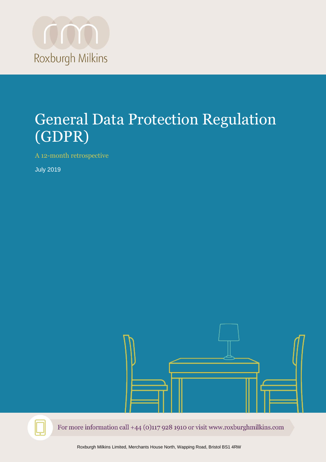

# General Data Protection Regulation (GDPR)

A 12-month retrospective

July 2019



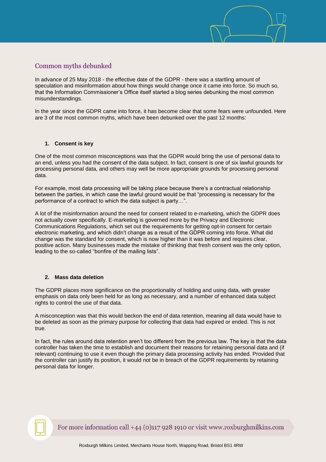# Common myths debunked

In advance of 25 May 2018 - the effective date of the GDPR - there was a startling amount of speculation and misinformation about how things would change once it came into force. So much so, that the Information Commissioner's Office itself started a blog series debunking the most common misunderstandings.

In the year since the GDPR came into force, it has become clear that some fears were unfounded. Here are 3 of the most common myths, which have been debunked over the past 12 months:

## **1. Consent is key**

One of the most common misconceptions was that the GDPR would bring the use of personal data to an end, unless you had the consent of the data subject. In fact, consent is one of six lawful grounds for processing personal data, and others may well be more appropriate grounds for processing personal data.

For example, most data processing will be taking place because there's a contractual relationship between the parties, in which case the lawful ground would be that "processing is necessary for the performance of a contract to which the data subject is party…".

A lot of the misinformation around the need for consent related to e-marketing, which the GDPR does not actually cover specifically. E-marketing is governed more by the Privacy and Electronic Communications Regulations, which set out the requirements for getting opt-in consent for certain electronic marketing, and which didn't change as a result of the GDPR coming into force. What did change was the standard for consent, which is now higher than it was before and requires clear, positive action. Many businesses made the mistake of thinking that fresh consent was the only option, leading to the so-called "bonfire of the mailing lists".

#### **2. Mass data deletion**

The GDPR places more significance on the proportionality of holding and using data, with greater emphasis on data only been held for as long as necessary, and a number of enhanced data subject rights to control the use of that data.

A misconception was that this would beckon the end of data retention, meaning all data would have to be deleted as soon as the primary purpose for collecting that data had expired or ended. This is not true.

In fact, the rules around data retention aren't too different from the previous law. The key is that the data controller has taken the time to establish and document their reasons for retaining personal data and (if relevant) continuing to use it even though the primary data processing activity has ended. Provided that the controller can justify its position, it would not be in breach of the GDPR requirements by retaining personal data for longer.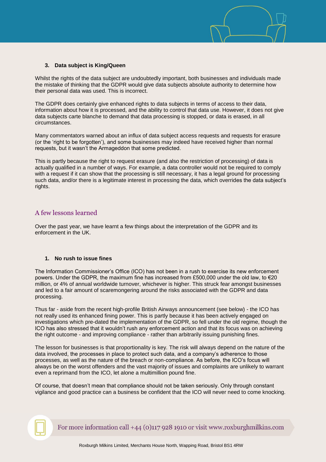## **3. Data subject is King/Queen**

Whilst the rights of the data subject are undoubtedly important, both businesses and individuals made the mistake of thinking that the GDPR would give data subjects absolute authority to determine how their personal data was used. This is incorrect.

The GDPR does certainly give enhanced rights to data subjects in terms of access to their data, information about how it is processed, and the ability to control that data use. However, it does not give data subjects carte blanche to demand that data processing is stopped, or data is erased, in all circumstances.

Many commentators warned about an influx of data subject access requests and requests for erasure (or the 'right to be forgotten'), and some businesses may indeed have received higher than normal requests, but it wasn't the Armageddon that some predicted.

This is partly because the right to request erasure (and also the restriction of processing) of data is actually qualified in a number of ways. For example, a data controller would not be required to comply with a request if it can show that the processing is still necessary, it has a legal ground for processing such data, and/or there is a legitimate interest in processing the data, which overrides the data subject's rights.

# A few lessons learned

Over the past year, we have learnt a few things about the interpretation of the GDPR and its enforcement in the UK.

#### **1. No rush to issue fines**

The Information Commissioner's Office (ICO) has not been in a rush to exercise its new enforcement powers. Under the GDPR, the maximum fine has increased from £500,000 under the old law, to €20 million, or 4% of annual worldwide turnover, whichever is higher. This struck fear amongst businesses and led to a fair amount of scaremongering around the risks associated with the GDPR and data processing.

Thus far - aside from the recent high-profile British Airways announcement (see below) - the ICO has not really used its enhanced fining power. This is partly because it has been actively engaged on investigations which pre-dated the implementation of the GDPR, so fell under the old regime, though the ICO has also stressed that it wouldn't rush any enforcement action and that its focus was on achieving the right outcome - and improving compliance - rather than arbitrarily issuing punishing fines.

The lesson for businesses is that proportionality is key. The risk will always depend on the nature of the data involved, the processes in place to protect such data, and a company's adherence to those processes, as well as the nature of the breach or non-compliance. As before, the ICO's focus will always be on the worst offenders and the vast majority of issues and complaints are unlikely to warrant even a reprimand from the ICO, let alone a multimillion pound fine.

Of course, that doesn't mean that compliance should not be taken seriously. Only through constant vigilance and good practice can a business be confident that the ICO will never need to come knocking.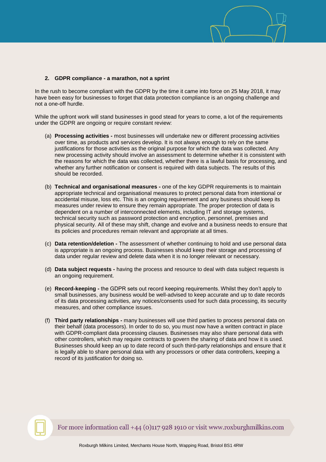#### **2. GDPR compliance - a marathon, not a sprint**

In the rush to become compliant with the GDPR by the time it came into force on 25 May 2018, it may have been easy for businesses to forget that data protection compliance is an ongoing challenge and not a one-off hurdle.

While the upfront work will stand businesses in good stead for years to come, a lot of the requirements under the GDPR are ongoing or require constant review:

- (a) **Processing activities -** most businesses will undertake new or different processing activities over time, as products and services develop. It is not always enough to rely on the same justifications for those activities as the original purpose for which the data was collected. Any new processing activity should involve an assessment to determine whether it is consistent with the reasons for which the data was collected, whether there is a lawful basis for processing, and whether any further notification or consent is required with data subjects. The results of this should be recorded.
- (b) **Technical and organisational measures -** one of the key GDPR requirements is to maintain appropriate technical and organisational measures to protect personal data from intentional or accidental misuse, loss etc. This is an ongoing requirement and any business should keep its measures under review to ensure they remain appropriate. The proper protection of data is dependent on a number of interconnected elements, including IT and storage systems, technical security such as password protection and encryption, personnel, premises and physical security. All of these may shift, change and evolve and a business needs to ensure that its policies and procedures remain relevant and appropriate at all times.
- (c) **Data retention/deletion -** The assessment of whether continuing to hold and use personal data is appropriate is an ongoing process. Businesses should keep their storage and processing of data under regular review and delete data when it is no longer relevant or necessary.
- (d) **Data subject requests -** having the process and resource to deal with data subject requests is an ongoing requirement.
- (e) **Record-keeping -** the GDPR sets out record keeping requirements. Whilst they don't apply to small businesses, any business would be well-advised to keep accurate and up to date records of its data processing activities, any notices/consents used for such data processing, its security measures, and other compliance issues.
- (f) **Third party relationships -** many businesses will use third parties to process personal data on their behalf (data processors). In order to do so, you must now have a written contract in place with GDPR-compliant data processing clauses. Businesses may also share personal data with other controllers, which may require contracts to govern the sharing of data and how it is used. Businesses should keep an up to date record of such third-party relationships and ensure that it is legally able to share personal data with any processors or other data controllers, keeping a record of its justification for doing so.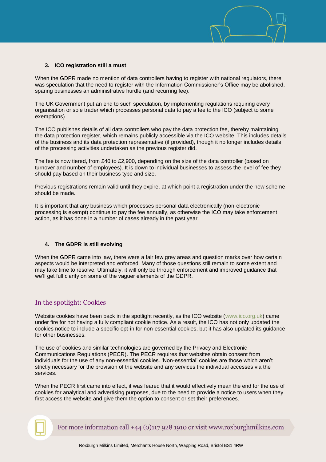### **3. ICO registration still a must**

When the GDPR made no mention of data controllers having to register with national regulators, there was speculation that the need to register with the Information Commissioner's Office may be abolished, sparing businesses an administrative hurdle (and recurring fee).

The UK Government put an end to such speculation, by implementing regulations requiring every organisation or sole trader which processes personal data to pay a fee to the ICO (subject to some exemptions).

The ICO publishes details of all data controllers who pay the data protection fee, thereby maintaining the data protection register, which remains publicly accessible via the ICO website. This includes details of the business and its data protection representative (if provided), though it no longer includes details of the processing activities undertaken as the previous register did.

The fee is now tiered, from £40 to £2,900, depending on the size of the data controller (based on turnover and number of employees). It is down to individual businesses to assess the level of fee they should pay based on their business type and size.

Previous registrations remain valid until they expire, at which point a registration under the new scheme should be made.

It is important that any business which processes personal data electronically (non-electronic processing is exempt) continue to pay the fee annually, as otherwise the ICO may take enforcement action, as it has done in a number of cases already in the past year.

## **4. The GDPR is still evolving**

When the GDPR came into law, there were a fair few grey areas and question marks over how certain aspects would be interpreted and enforced. Many of those questions still remain to some extent and may take time to resolve. Ultimately, it will only be through enforcement and improved guidance that we'll get full clarity on some of the vaguer elements of the GDPR.

# In the spotlight: Cookies

Website cookies have been back in the spotlight recently, as the ICO website [\(www.ico.org.uk\)](http://www.ico.org.uk/) came under fire for not having a fully compliant cookie notice. As a result, the ICO has not only updated the cookies notice to include a specific opt-in for non-essential cookies, but it has also updated its guidance for other businesses.

The use of cookies and similar technologies are governed by the Privacy and Electronic Communications Regulations (PECR). The PECR requires that websites obtain consent from individuals for the use of any non-essential cookies. 'Non-essential' cookies are those which aren't strictly necessary for the provision of the website and any services the individual accesses via the services.

When the PECR first came into effect, it was feared that it would effectively mean the end for the use of cookies for analytical and advertising purposes, due to the need to provide a notice to users when they first access the website and give them the option to consent or set their preferences.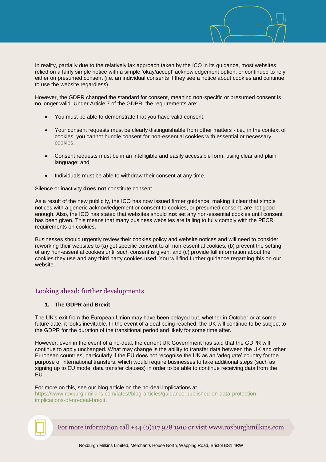In reality, partially due to the relatively lax approach taken by the ICO in its guidance, most websites relied on a fairly simple notice with a simple 'okay/accept' acknowledgement option, or continued to rely either on presumed consent (i.e. an individual consents if they see a notice about cookies and continue to use the website regardless).

However, the GDPR changed the standard for consent, meaning non-specific or presumed consent is no longer valid. Under Article 7 of the GDPR, the requirements are:

- You must be able to demonstrate that you have valid consent;
- Your consent requests must be clearly distinguishable from other matters i.e., in the context of cookies, you cannot bundle consent for non-essential cookies with essential or necessary cookies;
- Consent requests must be in an intelligible and easily accessible form, using clear and plain language; and
- Individuals must be able to withdraw their consent at any time.

Silence or inactivity **does not** constitute consent.

As a result of the new publicity, the ICO has now issued firmer guidance, making it clear that simple notices with a generic acknowledgement or consent to cookies, or presumed consent, are not good enough. Also, the ICO has stated that websites should **not** set any non-essential cookies until consent has been given. This means that many business websites are failing to fully comply with the PECR requirements on cookies.

Businesses should urgently review their cookies policy and website notices and will need to consider reworking their websites to (a) get specific consent to all non-essential cookies, (b) prevent the setting of any non-essential cookies until such consent is given, and (c) provide full information about the cookies they use and any third party cookies used. You will find further guidance regarding this on our website.

# Looking ahead: further developments

#### **1. The GDPR and Brexit**

The UK's exit from the European Union may have been delayed but, whether in October or at some future date, it looks inevitable. In the event of a deal being reached, the UK will continue to be subject to the GDPR for the duration of the transitional period and likely for some time after.

However, even in the event of a no-deal, the current UK Government has said that the GDPR will continue to apply unchanged. What may change is the ability to transfer data between the UK and other European countries, particularly if the EU does not recognise the UK as an 'adequate' country for the purpose of international transfers, which would require businesses to take additional steps (such as signing up to EU model data transfer clauses) in order to be able to continue receiving data from the EU.

#### For more on this, see our blog article on the no-deal implications at

[https://www.roxburghmilkins.com/latest/blog-articles/guidance-published-on-data-protection](https://www.roxburghmilkins.com/latest/blog-articles/guidance-published-on-data-protection-implications-of-no-deal-brexit)[implications-of-no-deal-brexit.](https://www.roxburghmilkins.com/latest/blog-articles/guidance-published-on-data-protection-implications-of-no-deal-brexit)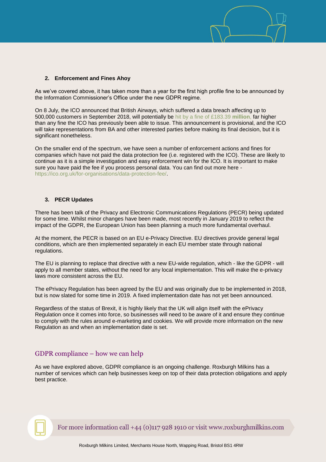## **2. Enforcement and Fines Ahoy**

As we've covered above, it has taken more than a year for the first high profile fine to be announced by the Information Commissioner's Office under the new GDPR regime.

On 8 July, the ICO announced that British Airways, which suffered a data breach affecting up to 500,000 customers in September 2018, will potentially be [hit by a fine of £183.39](https://ico.org.uk/about-the-ico/news-and-events/news-and-blogs/2019/07/statement-ico-announces-intention-to-fine-british-airways/) **million**, far higher than any fine the ICO has previously been able to issue. This announcement is provisional, and the ICO will take representations from BA and other interested parties before making its final decision, but it is significant nonetheless.

On the smaller end of the spectrum, we have seen a number of enforcement actions and fines for companies which have not paid the data protection fee (i.e. registered with the ICO). These are likely to continue as it is a simple investigation and easy enforcement win for the ICO. It is important to make sure you have paid the fee if you process personal data. You can find out more here [https://ico.org.uk/for-organisations/data-protection-fee/.](https://ico.org.uk/for-organisations/data-protection-fee/)

## **3. PECR Updates**

There has been talk of the Privacy and Electronic Communications Regulations (PECR) being updated for some time. Whilst minor changes have been made, most recently in January 2019 to reflect the impact of the GDPR, the European Union has been planning a much more fundamental overhaul.

At the moment, the PECR is based on an EU e-Privacy Directive. EU directives provide general legal conditions, which are then implemented separately in each EU member state through national regulations.

The EU is planning to replace that directive with a new EU-wide regulation, which - like the GDPR - will apply to all member states, without the need for any local implementation. This will make the e-privacy laws more consistent across the EU.

The ePrivacy Regulation has been agreed by the EU and was originally due to be implemented in 2018, but is now slated for some time in 2019. A fixed implementation date has not yet been announced.

Regardless of the status of Brexit, it is highly likely that the UK will align itself with the ePrivacy Regulation once it comes into force, so businesses will need to be aware of it and ensure they continue to comply with the rules around e-marketing and cookies. We will provide more information on the new Regulation as and when an implementation date is set.

# GDPR compliance – how we can help

As we have explored above, GDPR compliance is an ongoing challenge. Roxburgh Milkins has a number of services which can help businesses keep on top of their data protection obligations and apply best practice.

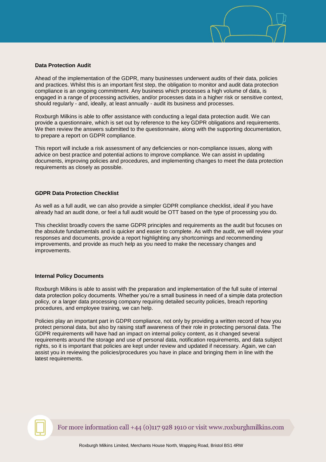#### **Data Protection Audit**

Ahead of the implementation of the GDPR, many businesses underwent audits of their data, policies and practices. Whilst this is an important first step, the obligation to monitor and audit data protection compliance is an ongoing commitment. Any business which processes a high volume of data, is engaged in a range of processing activities, and/or processes data in a higher risk or sensitive context, should regularly - and, ideally, at least annually - audit its business and processes.

Roxburgh Milkins is able to offer assistance with conducting a legal data protection audit. We can provide a questionnaire, which is set out by reference to the key GDPR obligations and requirements. We then review the answers submitted to the questionnaire, along with the supporting documentation, to prepare a report on GDPR compliance.

This report will include a risk assessment of any deficiencies or non-compliance issues, along with advice on best practice and potential actions to improve compliance. We can assist in updating documents, improving policies and procedures, and implementing changes to meet the data protection requirements as closely as possible.

#### **GDPR Data Protection Checklist**

As well as a full audit, we can also provide a simpler GDPR compliance checklist, ideal if you have already had an audit done, or feel a full audit would be OTT based on the type of processing you do.

This checklist broadly covers the same GDPR principles and requirements as the audit but focuses on the absolute fundamentals and is quicker and easier to complete. As with the audit, we will review your responses and documents, provide a report highlighting any shortcomings and recommending improvements, and provide as much help as you need to make the necessary changes and improvements.

#### **Internal Policy Documents**

Roxburgh Milkins is able to assist with the preparation and implementation of the full suite of internal data protection policy documents. Whether you're a small business in need of a simple data protection policy, or a larger data processing company requiring detailed security policies, breach reporting procedures, and employee training, we can help.

Policies play an important part in GDPR compliance, not only by providing a written record of how you protect personal data, but also by raising staff awareness of their role in protecting personal data. The GDPR requirements will have had an impact on internal policy content, as it changed several requirements around the storage and use of personal data, notification requirements, and data subject rights, so it is important that policies are kept under review and updated if necessary. Again, we can assist you in reviewing the policies/procedures you have in place and bringing them in line with the latest requirements.